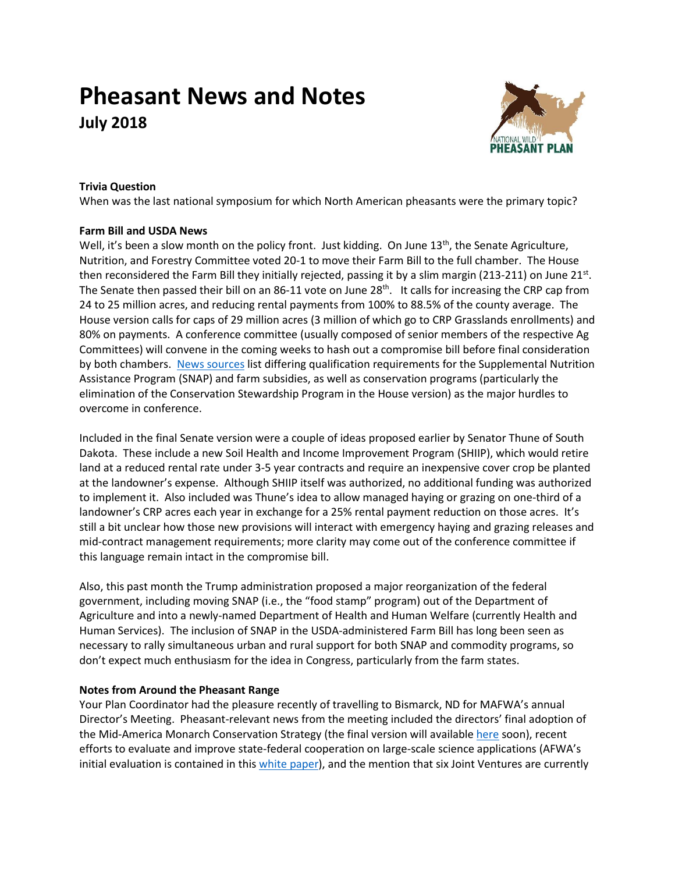# **Pheasant News and Notes July 2018**



# **Trivia Question**

When was the last national symposium for which North American pheasants were the primary topic?

# **Farm Bill and USDA News**

Well, it's been a slow month on the policy front. Just kidding. On June 13<sup>th</sup>, the Senate Agriculture, Nutrition, and Forestry Committee voted 20-1 to move their Farm Bill to the full chamber. The House then reconsidered the Farm Bill they initially rejected, passing it by a slim margin (213-211) on June 21<sup>st</sup>. The Senate then passed their bill on an 86-11 vote on June 28<sup>th</sup>. It calls for increasing the CRP cap from 24 to 25 million acres, and reducing rental payments from 100% to 88.5% of the county average. The House version calls for caps of 29 million acres (3 million of which go to CRP Grasslands enrollments) and 80% on payments. A conference committee (usually composed of senior members of the respective Ag Committees) will convene in the coming weeks to hash out a compromise bill before final consideration by both chambers. [News sources](https://farmpolicynews.illinois.edu/2018/06/farm-bill-passes-the-senate/?utm_source=farmdoc+daily+and+Farm+Policy+News+Updates&utm_campaign=c7da55b76c-FPN_RSS_EMAIL_CAMPAIGN&utm_medium=email&utm_term=0_2caf2f9764-c7da55b76c-173639225) list differing qualification requirements for the Supplemental Nutrition Assistance Program (SNAP) and farm subsidies, as well as conservation programs (particularly the elimination of the Conservation Stewardship Program in the House version) as the major hurdles to overcome in conference.

Included in the final Senate version were a couple of ideas proposed earlier by Senator Thune of South Dakota. These include a new Soil Health and Income Improvement Program (SHIIP), which would retire land at a reduced rental rate under 3-5 year contracts and require an inexpensive cover crop be planted at the landowner's expense. Although SHIIP itself was authorized, no additional funding was authorized to implement it. Also included was Thune's idea to allow managed haying or grazing on one-third of a landowner's CRP acres each year in exchange for a 25% rental payment reduction on those acres. It's still a bit unclear how those new provisions will interact with emergency haying and grazing releases and mid-contract management requirements; more clarity may come out of the conference committee if this language remain intact in the compromise bill.

Also, this past month the Trump administration proposed a major reorganization of the federal government, including moving SNAP (i.e., the "food stamp" program) out of the Department of Agriculture and into a newly-named Department of Health and Human Welfare (currently Health and Human Services). The inclusion of SNAP in the USDA-administered Farm Bill has long been seen as necessary to rally simultaneous urban and rural support for both SNAP and commodity programs, so don't expect much enthusiasm for the idea in Congress, particularly from the farm states.

## **Notes from Around the Pheasant Range**

Your Plan Coordinator had the pleasure recently of travelling to Bismarck, ND for MAFWA's annual Director's Meeting. Pheasant-relevant news from the meeting included the directors' final adoption of the Mid-America Monarch Conservation Strategy (the final version will available [here](http://www.mafwa.org/?page_id=2347) soon), recent efforts to evaluate and improve state-federal cooperation on large-scale science applications (AFWA's initial evaluation is contained in this [white paper\)](https://www.fishwildlife.org/application/files/8915/2185/5488/AFWA_Landscape_Conservation_White_Paper-FINAL.pdf), and the mention that six Joint Ventures are currently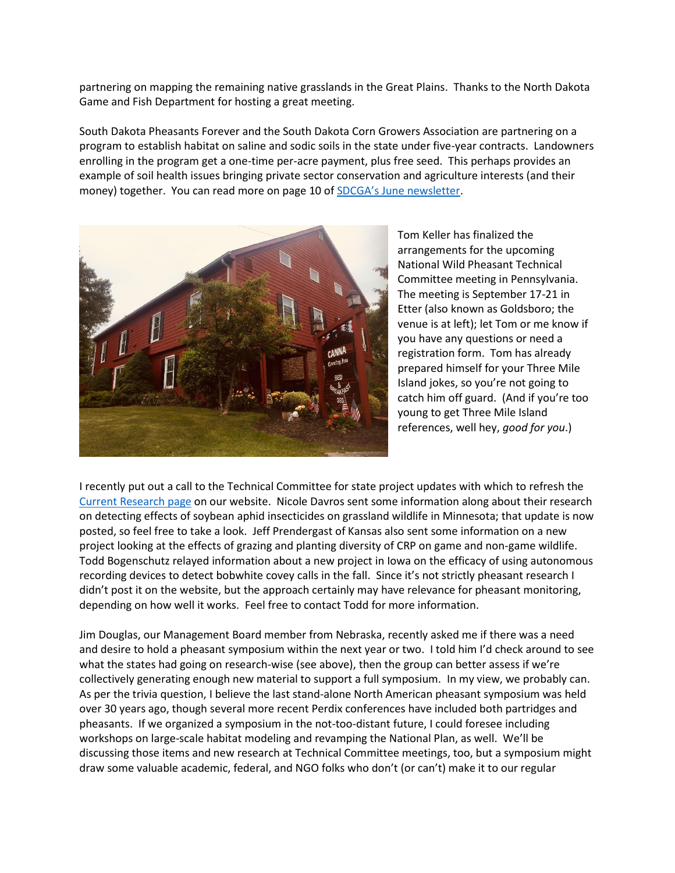partnering on mapping the remaining native grasslands in the Great Plains. Thanks to the North Dakota Game and Fish Department for hosting a great meeting.

South Dakota Pheasants Forever and the South Dakota Corn Growers Association are partnering on a program to establish habitat on saline and sodic soils in the state under five-year contracts. Landowners enrolling in the program get a one-time per-acre payment, plus free seed. This perhaps provides an example of soil health issues bringing private sector conservation and agriculture interests (and their money) together. You can read more on page 10 of [SDCGA's June newsletter](http://www.sdcorn.org/newsletter/june-2018/).



Tom Keller has finalized the arrangements for the upcoming National Wild Pheasant Technical Committee meeting in Pennsylvania. The meeting is September 17-21 in Etter (also known as Goldsboro; the venue is at left); let Tom or me know if you have any questions or need a registration form. Tom has already prepared himself for your Three Mile Island jokes, so you're not going to catch him off guard. (And if you're too young to get Three Mile Island references, well hey, *good for you*.)

I recently put out a call to the Technical Committee for state project updates with which to refresh the [Current Research page](http://nationalpheasantplan.org/current-research/) on our website. Nicole Davros sent some information along about their research on detecting effects of soybean aphid insecticides on grassland wildlife in Minnesota; that update is now posted, so feel free to take a look. Jeff Prendergast of Kansas also sent some information on a new project looking at the effects of grazing and planting diversity of CRP on game and non-game wildlife. Todd Bogenschutz relayed information about a new project in Iowa on the efficacy of using autonomous recording devices to detect bobwhite covey calls in the fall. Since it's not strictly pheasant research I didn't post it on the website, but the approach certainly may have relevance for pheasant monitoring, depending on how well it works. Feel free to contact Todd for more information.

Jim Douglas, our Management Board member from Nebraska, recently asked me if there was a need and desire to hold a pheasant symposium within the next year or two. I told him I'd check around to see what the states had going on research-wise (see above), then the group can better assess if we're collectively generating enough new material to support a full symposium. In my view, we probably can. As per the trivia question, I believe the last stand-alone North American pheasant symposium was held over 30 years ago, though several more recent Perdix conferences have included both partridges and pheasants. If we organized a symposium in the not-too-distant future, I could foresee including workshops on large-scale habitat modeling and revamping the National Plan, as well. We'll be discussing those items and new research at Technical Committee meetings, too, but a symposium might draw some valuable academic, federal, and NGO folks who don't (or can't) make it to our regular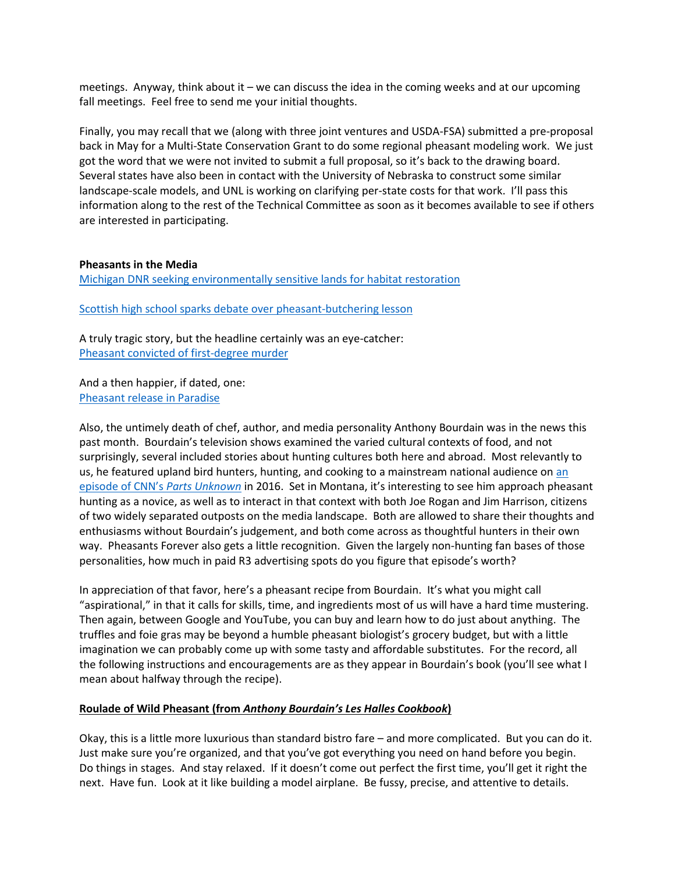meetings. Anyway, think about it – we can discuss the idea in the coming weeks and at our upcoming fall meetings. Feel free to send me your initial thoughts.

Finally, you may recall that we (along with three joint ventures and USDA-FSA) submitted a pre-proposal back in May for a Multi-State Conservation Grant to do some regional pheasant modeling work. We just got the word that we were not invited to submit a full proposal, so it's back to the drawing board. Several states have also been in contact with the University of Nebraska to construct some similar landscape-scale models, and UNL is working on clarifying per-state costs for that work. I'll pass this information along to the rest of the Technical Committee as soon as it becomes available to see if others are interested in participating.

## **Pheasants in the Media**

[Michigan DNR seeking environmentally sensitive lands for habitat restoration](http://www.theoutdoorwire.com/story/579177c2-29e9-4c9d-af33-ed5a627e1f6a)

[Scottish high school sparks debate over pheasant-butchering lesson](https://www.scotsman.com/news/education/scottish-high-school-sparks-debate-over-pheasant-butchering-lesson-1-4661111)

A truly tragic story, but the headline certainly was an eye-catcher: [Pheasant convicted of first-degree murder](http://www.wjpf.com/2018/05/23/pheasant-convicted-of-first-degree-murder/)

And a then happier, if dated, one: [Pheasant release in Paradise](https://www.hjnews.com/pheasant-release-in-paradise/collection_265b4e46-769c-5949-a890-507d01bd1aab.html)

Also, the untimely death of chef, author, and media personality Anthony Bourdain was in the news this past month. Bourdain's television shows examined the varied cultural contexts of food, and not surprisingly, several included stories about hunting cultures both here and abroad. Most relevantly to us, he featured upland bird hunters, hunting, and cooking to a mainstream national audience o[n an](https://www.dailymotion.com/video/x5lauj0)  [episode of CNN's](https://www.dailymotion.com/video/x5lauj0) *Parts Unknown* in 2016. Set in Montana, it's interesting to see him approach pheasant hunting as a novice, as well as to interact in that context with both Joe Rogan and Jim Harrison, citizens of two widely separated outposts on the media landscape. Both are allowed to share their thoughts and enthusiasms without Bourdain's judgement, and both come across as thoughtful hunters in their own way. Pheasants Forever also gets a little recognition. Given the largely non-hunting fan bases of those personalities, how much in paid R3 advertising spots do you figure that episode's worth?

In appreciation of that favor, here's a pheasant recipe from Bourdain. It's what you might call "aspirational," in that it calls for skills, time, and ingredients most of us will have a hard time mustering. Then again, between Google and YouTube, you can buy and learn how to do just about anything. The truffles and foie gras may be beyond a humble pheasant biologist's grocery budget, but with a little imagination we can probably come up with some tasty and affordable substitutes. For the record, all the following instructions and encouragements are as they appear in Bourdain's book (you'll see what I mean about halfway through the recipe).

# **Roulade of Wild Pheasant (from** *Anthony Bourdain's Les Halles Cookbook***)**

Okay, this is a little more luxurious than standard bistro fare – and more complicated. But you can do it. Just make sure you're organized, and that you've got everything you need on hand before you begin. Do things in stages. And stay relaxed. If it doesn't come out perfect the first time, you'll get it right the next. Have fun. Look at it like building a model airplane. Be fussy, precise, and attentive to details.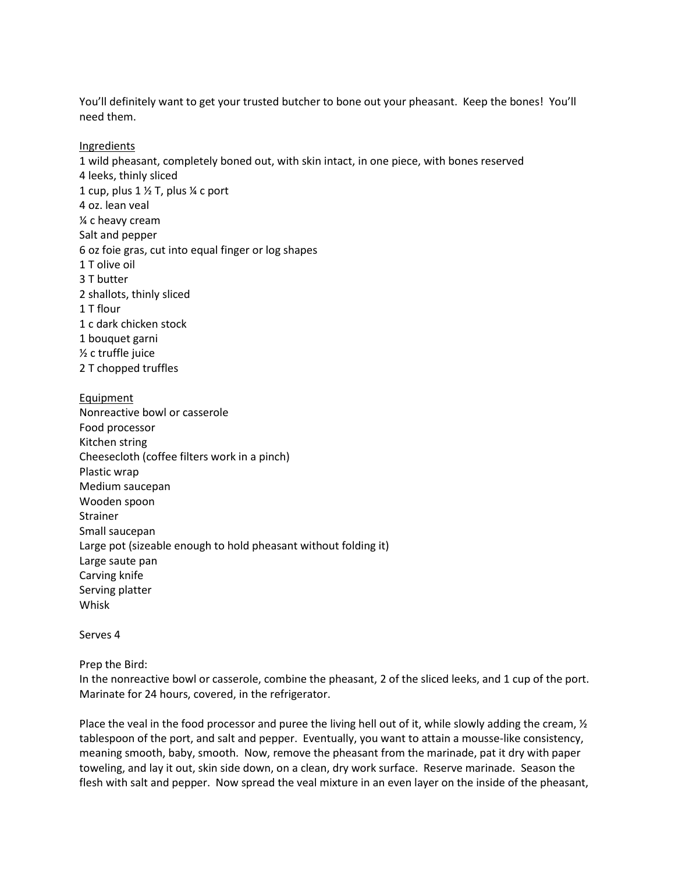You'll definitely want to get your trusted butcher to bone out your pheasant. Keep the bones! You'll need them.

Ingredients

1 wild pheasant, completely boned out, with skin intact, in one piece, with bones reserved 4 leeks, thinly sliced 1 cup, plus  $1 \times T$ , plus  $\frac{1}{4}$  c port 4 oz. lean veal ¼ c heavy cream Salt and pepper 6 oz foie gras, cut into equal finger or log shapes 1 T olive oil 3 T butter 2 shallots, thinly sliced 1 T flour 1 c dark chicken stock 1 bouquet garni ½ c truffle juice 2 T chopped truffles

Equipment Nonreactive bowl or casserole Food processor Kitchen string Cheesecloth (coffee filters work in a pinch) Plastic wrap Medium saucepan Wooden spoon **Strainer** Small saucepan Large pot (sizeable enough to hold pheasant without folding it) Large saute pan Carving knife Serving platter Whisk

Serves 4

Prep the Bird:

In the nonreactive bowl or casserole, combine the pheasant, 2 of the sliced leeks, and 1 cup of the port. Marinate for 24 hours, covered, in the refrigerator.

Place the veal in the food processor and puree the living hell out of it, while slowly adding the cream,  $\frac{1}{2}$ tablespoon of the port, and salt and pepper. Eventually, you want to attain a mousse-like consistency, meaning smooth, baby, smooth. Now, remove the pheasant from the marinade, pat it dry with paper toweling, and lay it out, skin side down, on a clean, dry work surface. Reserve marinade. Season the flesh with salt and pepper. Now spread the veal mixture in an even layer on the inside of the pheasant,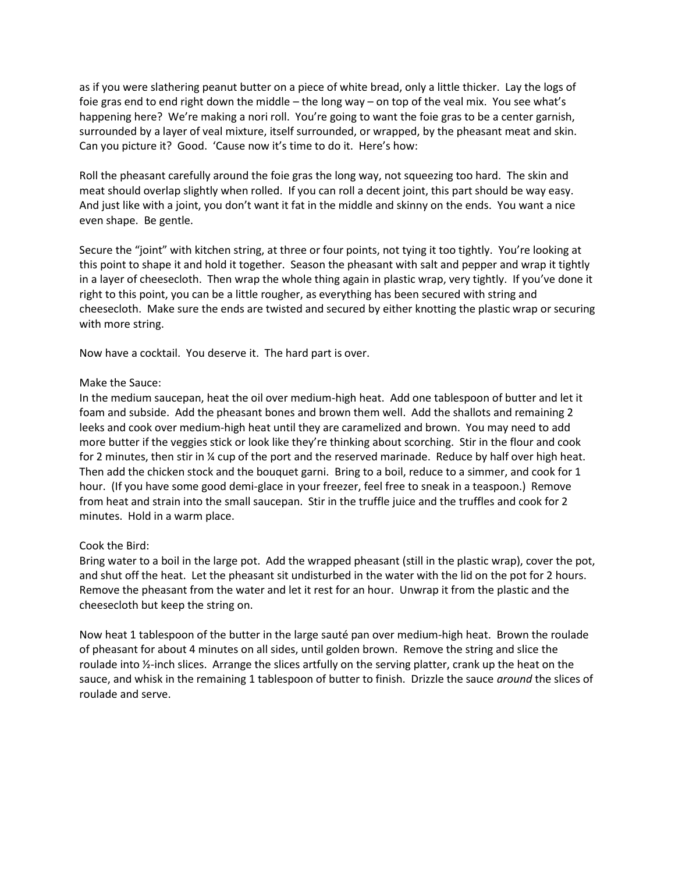as if you were slathering peanut butter on a piece of white bread, only a little thicker. Lay the logs of foie gras end to end right down the middle – the long way – on top of the veal mix. You see what's happening here? We're making a nori roll. You're going to want the foie gras to be a center garnish, surrounded by a layer of veal mixture, itself surrounded, or wrapped, by the pheasant meat and skin. Can you picture it? Good. 'Cause now it's time to do it. Here's how:

Roll the pheasant carefully around the foie gras the long way, not squeezing too hard. The skin and meat should overlap slightly when rolled. If you can roll a decent joint, this part should be way easy. And just like with a joint, you don't want it fat in the middle and skinny on the ends. You want a nice even shape. Be gentle.

Secure the "joint" with kitchen string, at three or four points, not tying it too tightly. You're looking at this point to shape it and hold it together. Season the pheasant with salt and pepper and wrap it tightly in a layer of cheesecloth. Then wrap the whole thing again in plastic wrap, very tightly. If you've done it right to this point, you can be a little rougher, as everything has been secured with string and cheesecloth. Make sure the ends are twisted and secured by either knotting the plastic wrap or securing with more string.

Now have a cocktail. You deserve it. The hard part is over.

#### Make the Sauce:

In the medium saucepan, heat the oil over medium-high heat. Add one tablespoon of butter and let it foam and subside. Add the pheasant bones and brown them well. Add the shallots and remaining 2 leeks and cook over medium-high heat until they are caramelized and brown. You may need to add more butter if the veggies stick or look like they're thinking about scorching. Stir in the flour and cook for 2 minutes, then stir in ¼ cup of the port and the reserved marinade. Reduce by half over high heat. Then add the chicken stock and the bouquet garni. Bring to a boil, reduce to a simmer, and cook for 1 hour. (If you have some good demi-glace in your freezer, feel free to sneak in a teaspoon.) Remove from heat and strain into the small saucepan. Stir in the truffle juice and the truffles and cook for 2 minutes. Hold in a warm place.

## Cook the Bird:

Bring water to a boil in the large pot. Add the wrapped pheasant (still in the plastic wrap), cover the pot, and shut off the heat. Let the pheasant sit undisturbed in the water with the lid on the pot for 2 hours. Remove the pheasant from the water and let it rest for an hour. Unwrap it from the plastic and the cheesecloth but keep the string on.

Now heat 1 tablespoon of the butter in the large sauté pan over medium-high heat. Brown the roulade of pheasant for about 4 minutes on all sides, until golden brown. Remove the string and slice the roulade into ½-inch slices. Arrange the slices artfully on the serving platter, crank up the heat on the sauce, and whisk in the remaining 1 tablespoon of butter to finish. Drizzle the sauce *around* the slices of roulade and serve.